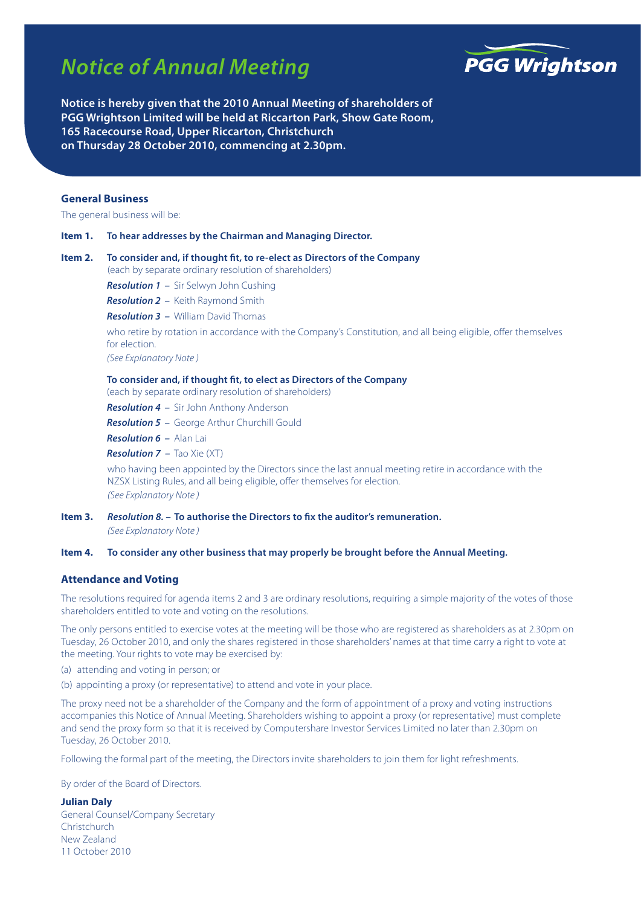# *Notice of Annual Meeting*



**Notice is hereby given that the 2010 Annual Meeting of shareholders of PGG Wrightson Limited will be held at Riccarton Park, Show Gate Room, 165 Racecourse Road, Upper Riccarton, Christchurch on Thursday 28 October 2010, commencing at 2.30pm.**

# **General Business**

The general business will be:

**Item 1. To hear addresses by the Chairman and Managing Director.**

# **Item 2. To consider and, if thought fit, to re-elect as Directors of the Company** (each by separate ordinary resolution of shareholders) *Resolution 1 –* Sir Selwyn John Cushing *Resolution 2 –* Keith Raymond Smith *Resolution 3 –* William David Thomas who retire by rotation in accordance with the Company's Constitution, and all being eligible, offer themselves for election. *(See Explanatory Note )* **To consider and, if thought fit, to elect as Directors of the Company** (each by separate ordinary resolution of shareholders)

*Resolution 4 –* Sir John Anthony Anderson

*Resolution 5 –* George Arthur Churchill Gould

*Resolution 6 –* Alan Lai

*Resolution 7 –* Tao Xie (XT)

who having been appointed by the Directors since the last annual meeting retire in accordance with the NZSX Listing Rules, and all being eligible, offer themselves for election. *(See Explanatory Note )*

**Item 3.** *Resolution 8. –* **To authorise the Directors to fix the auditor's remuneration.** *(See Explanatory Note )*

#### **Item 4. To consider any other business that may properly be brought before the Annual Meeting.**

## **Attendance and Voting**

The resolutions required for agenda items 2 and 3 are ordinary resolutions, requiring a simple majority of the votes of those shareholders entitled to vote and voting on the resolutions.

The only persons entitled to exercise votes at the meeting will be those who are registered as shareholders as at 2.30pm on Tuesday, 26 October 2010, and only the shares registered in those shareholders' names at that time carry a right to vote at the meeting. Your rights to vote may be exercised by:

- (a) attending and voting in person; or
- (b) appointing a proxy (or representative) to attend and vote in your place.

The proxy need not be a shareholder of the Company and the form of appointment of a proxy and voting instructions accompanies this Notice of Annual Meeting. Shareholders wishing to appoint a proxy (or representative) must complete and send the proxy form so that it is received by Computershare Investor Services Limited no later than 2.30pm on Tuesday, 26 October 2010.

Following the formal part of the meeting, the Directors invite shareholders to join them for light refreshments.

By order of the Board of Directors.

#### **Julian Daly**

General Counsel/Company Secretary Christchurch New Zealand 11 October 2010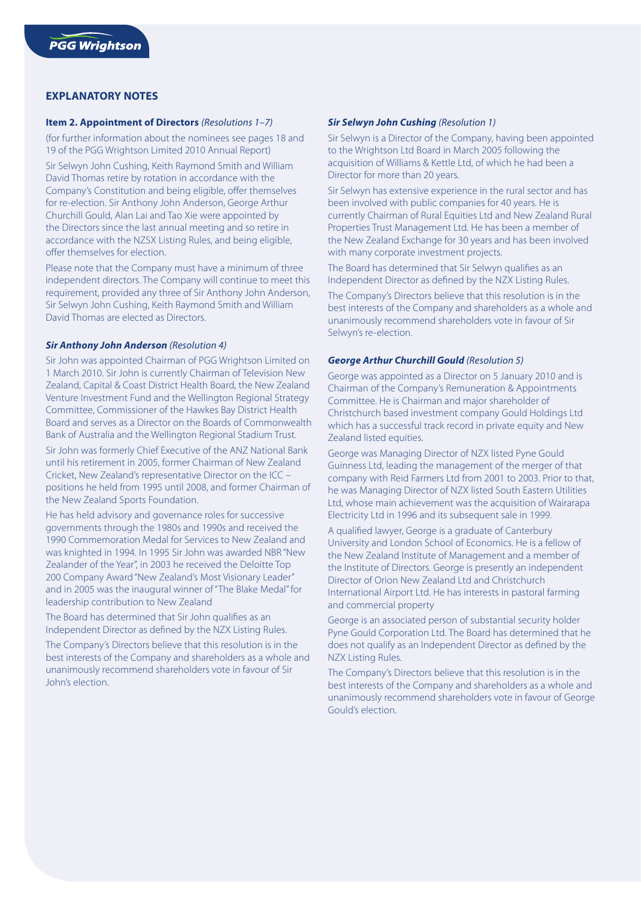# **EXPLANATORY NOTES**

## **Item 2. Appointment of Directors** *(Resolutions 1–7)*

(for further information about the nominees see pages 18 and 19 of the PGG Wrightson Limited 2010 Annual Report)

Sir Selwyn John Cushing, Keith Raymond Smith and William David Thomas retire by rotation in accordance with the Company's Constitution and being eligible, offer themselves for re-election. Sir Anthony John Anderson, George Arthur Churchill Gould, Alan Lai and Tao Xie were appointed by the Directors since the last annual meeting and so retire in accordance with the NZSX Listing Rules, and being eligible, offer themselves for election.

Please note that the Company must have a minimum of three independent directors. The Company will continue to meet this requirement, provided any three of Sir Anthony John Anderson, Sir Selwyn John Cushing, Keith Raymond Smith and William David Thomas are elected as Directors.

#### *Sir Anthony John Anderson (Resolution 4)*

Sir John was appointed Chairman of PGG Wrightson Limited on 1 March 2010. Sir John is currently Chairman of Television New Zealand, Capital & Coast District Health Board, the New Zealand Venture Investment Fund and the Wellington Regional Strategy Committee, Commissioner of the Hawkes Bay District Health Board and serves as a Director on the Boards of Commonwealth Bank of Australia and the Wellington Regional Stadium Trust.

Sir John was formerly Chief Executive of the ANZ National Bank until his retirement in 2005, former Chairman of New Zealand Cricket, New Zealand's representative Director on the ICC – positions he held from 1995 until 2008, and former Chairman of the New Zealand Sports Foundation.

He has held advisory and governance roles for successive governments through the 1980s and 1990s and received the 1990 Commemoration Medal for Services to New Zealand and was knighted in 1994. In 1995 Sir John was awarded NBR "New Zealander of the Year", in 2003 he received the Deloitte Top 200 Company Award "New Zealand's Most Visionary Leader" and in 2005 was the inaugural winner of "The Blake Medal" for leadership contribution to New Zealand

The Board has determined that Sir John qualifies as an Independent Director as defined by the NZX Listing Rules.

The Company's Directors believe that this resolution is in the best interests of the Company and shareholders as a whole and unanimously recommend shareholders vote in favour of Sir John's election.

#### *Sir Selwyn John Cushing (Resolution 1)*

Sir Selwyn is a Director of the Company, having been appointed to the Wrightson Ltd Board in March 2005 following the acquisition of Williams & Kettle Ltd, of which he had been a Director for more than 20 years.

Sir Selwyn has extensive experience in the rural sector and has been involved with public companies for 40 years. He is currently Chairman of Rural Equities Ltd and New Zealand Rural Properties Trust Management Ltd. He has been a member of the New Zealand Exchange for 30 years and has been involved with many corporate investment projects.

The Board has determined that Sir Selwyn qualifies as an Independent Director as defined by the NZX Listing Rules.

The Company's Directors believe that this resolution is in the best interests of the Company and shareholders as a whole and unanimously recommend shareholders vote in favour of Sir Selwyn's re-election.

# *George Arthur Churchill Gould (Resolution 5)*

George was appointed as a Director on 5 January 2010 and is Chairman of the Company's Remuneration & Appointments Committee. He is Chairman and major shareholder of Christchurch based investment company Gould Holdings Ltd which has a successful track record in private equity and New Zealand listed equities.

George was Managing Director of NZX listed Pyne Gould Guinness Ltd, leading the management of the merger of that company with Reid Farmers Ltd from 2001 to 2003. Prior to that, he was Managing Director of NZX listed South Eastern Utilities Ltd, whose main achievement was the acquisition of Wairarapa Electricity Ltd in 1996 and its subsequent sale in 1999.

A qualified lawyer, George is a graduate of Canterbury University and London School of Economics. He is a fellow of the New Zealand Institute of Management and a member of the Institute of Directors. George is presently an independent Director of Orion New Zealand Ltd and Christchurch International Airport Ltd. He has interests in pastoral farming and commercial property

George is an associated person of substantial security holder Pyne Gould Corporation Ltd. The Board has determined that he does not qualify as an Independent Director as defined by the NZX Listing Rules.

The Company's Directors believe that this resolution is in the best interests of the Company and shareholders as a whole and unanimously recommend shareholders vote in favour of George Gould's election.